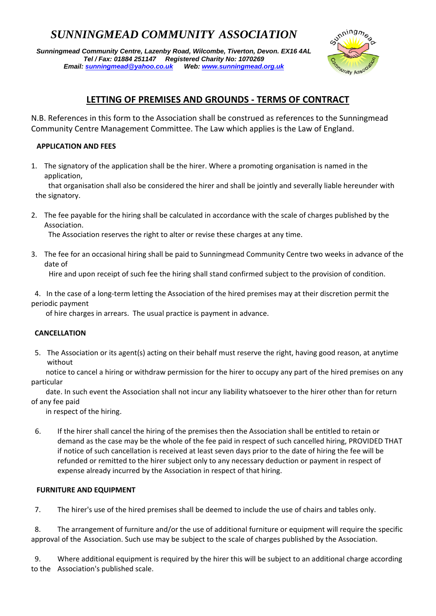# *SUNNINGMEAD COMMUNITY ASSOCIATION*

*Sunningmead Community Centre, Lazenby Road, Wilcombe, Tiverton, Devon. EX16 4AL Tel / Fax: 01884 251147 Registered Charity No: 1070269 Email: sunningmead@yahoo.co.uk Web: www.sunningmead.org.uk* 



# **LETTING OF PREMISES AND GROUNDS ‐ TERMS OF CONTRACT**

N.B. References in this form to the Association shall be construed as references to the Sunningmead Community Centre Management Committee. The Law which applies is the Law of England.

## **APPLICATION AND FEES**

1. The signatory of the application shall be the hirer. Where a promoting organisation is named in the application,

 that organisation shall also be considered the hirer and shall be jointly and severally liable hereunder with the signatory.

2. The fee payable for the hiring shall be calculated in accordance with the scale of charges published by the Association.

The Association reserves the right to alter or revise these charges at any time.

3. The fee for an occasional hiring shall be paid to Sunningmead Community Centre two weeks in advance of the date of

Hire and upon receipt of such fee the hiring shall stand confirmed subject to the provision of condition.

4. In the case of a long-term letting the Association of the hired premises may at their discretion permit the periodic payment

of hire charges in arrears. The usual practice is payment in advance.

### **CANCELLATION**

 5. The Association or its agent(s) acting on their behalf must reserve the right, having good reason, at anytime without

 notice to cancel a hiring or withdraw permission for the hirer to occupy any part of the hired premises on any particular

 date. In such event the Association shall not incur any liability whatsoever to the hirer other than for return of any fee paid

in respect of the hiring.

6. If the hirer shall cancel the hiring of the premises then the Association shall be entitled to retain or demand as the case may be the whole of the fee paid in respect of such cancelled hiring, PROVIDED THAT if notice of such cancellation is received at least seven days prior to the date of hiring the fee will be refunded or remitted to the hirer subject only to any necessary deduction or payment in respect of expense already incurred by the Association in respect of that hiring.

### *FURNITURE AND EQUIPMENT*

7. The hirer's use of the hired premises shall be deemed to include the use of chairs and tables only.

 8. The arrangement of furniture and/or the use of additional furniture or equipment will require the specific approval of the Association. Such use may be subject to the scale of charges published by the Association.

 9. Where additional equipment is required by the hirer this will be subject to an additional charge according to the Association's published scale.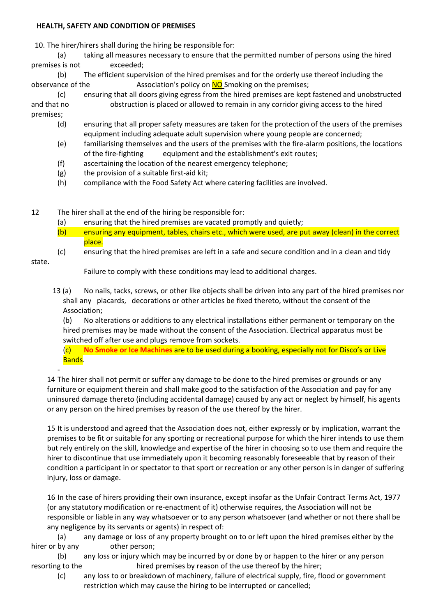#### **HEALTH, SAFETY AND CONDITION OF PREMISES**

10. The hirer/hirers shall during the hiring be responsible for:

(a) taking all measures necessary to ensure that the permitted number of persons using the hired premises is not exceeded:

 (b) The efficient supervision of the hired premises and for the orderly use thereof including the observance of the  $\sim$  Association's policy on NO Smoking on the premises;

 (c) ensuring that all doors giving egress from the hired premises are kept fastened and unobstructed and that no **b**obstruction is placed or allowed to remain in any corridor giving access to the hired premises;

- (d) ensuring that all proper safety measures are taken for the protection of the users of the premises equipment including adequate adult supervision where young people are concerned;
- (e) familiarising themselves and the users of the premises with the fire‐alarm positions, the locations of the fire-fighting equipment and the establishment's exit routes;
- (f) ascertaining the location of the nearest emergency telephone;
- $(g)$  the provision of a suitable first-aid kit;
- (h) compliance with the Food Safety Act where catering facilities are involved.

12 The hirer shall at the end of the hiring be responsible for:

- (a) ensuring that the hired premises are vacated promptly and quietly;
- (b) ensuring any equipment, tables, chairs etc., which were used, are put away (clean) in the correct place.
- (c) ensuring that the hired premises are left in a safe and secure condition and in a clean and tidy

state.

Failure to comply with these conditions may lead to additional charges.

13 (a) No nails, tacks, screws, or other like objects shall be driven into any part of the hired premises nor shall any placards, decorations or other articles be fixed thereto, without the consent of the Association;

 (b) No alterations or additions to any electrical installations either permanent or temporary on the hired premises may be made without the consent of the Association. Electrical apparatus must be switched off after use and plugs remove from sockets.

 (c) **No Smoke or Ice Machines** are to be used during a booking, especially not for Disco's or Live Bands.

 $\sim 10^{-10}$   $\sigma$ 14 The hirer shall not permit or suffer any damage to be done to the hired premises or grounds or any furniture or equipment therein and shall make good to the satisfaction of the Association and pay for any uninsured damage thereto (including accidental damage) caused by any act or neglect by himself, his agents or any person on the hired premises by reason of the use thereof by the hirer.

 15 It is understood and agreed that the Association does not, either expressly or by implication, warrant the premises to be fit or suitable for any sporting or recreational purpose for which the hirer intends to use them but rely entirely on the skill, knowledge and expertise of the hirer in choosing so to use them and require the hirer to discontinue that use immediately upon it becoming reasonably foreseeable that by reason of their condition a participant in or spectator to that sport or recreation or any other person is in danger of suffering injury, loss or damage.

 16 In the case of hirers providing their own insurance, except insofar as the Unfair Contract Terms Act, 1977 (or any statutory modification or re‐enactment of it) otherwise requires, the Association will not be responsible or liable in any way whatsoever or to any person whatsoever (and whether or not there shall be any negligence by its servants or agents) in respect of:

(a) any damage or loss of any property brought on to or left upon the hired premises either by the hirer or by any other person;

 (b) any loss or injury which may be incurred by or done by or happen to the hirer or any person resorting to the *hired* premises by reason of the use thereof by the hirer;

(c) any loss to or breakdown of machinery, failure of electrical supply, fire, flood or government restriction which may cause the hiring to be interrupted or cancelled;